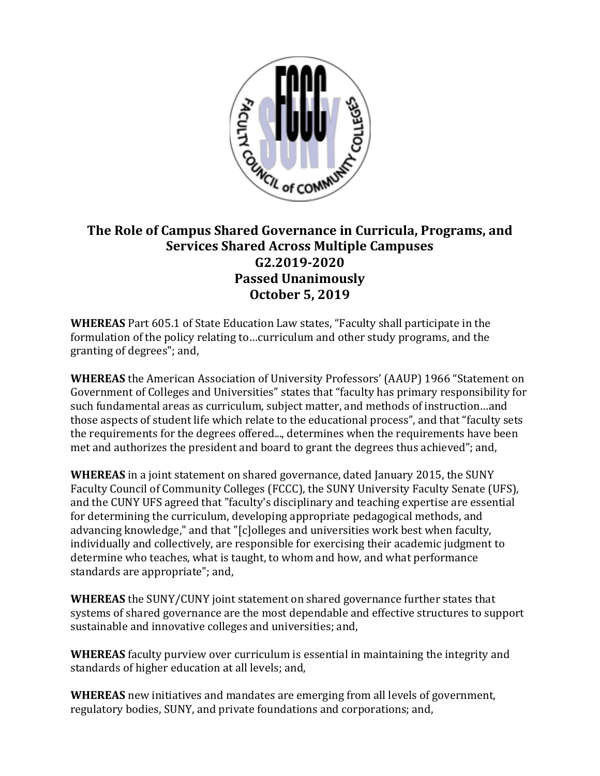

## **The Role of Campus Shared Governance in Curricula, Programs, and Services Shared Across Multiple Campuses G2.2019-2020 Passed Unanimously October 5, 2019**

**WHEREAS** Part 605.1 of State Education Law states, "Faculty shall participate in the formulation of the policy relating to…curriculum and other study programs, and the granting of degrees"; and,

**WHEREAS** the American Association of University Professors' (AAUP) 1966 "Statement on Government of Colleges and Universities" states that "faculty has primary responsibility for such fundamental areas as curriculum, subject matter, and methods of instruction…and those aspects of student life which relate to the educational process", and that "faculty sets the requirements for the degrees offered..., determines when the requirements have been met and authorizes the president and board to grant the degrees thus achieved"; and,

**WHEREAS** in a joint statement on shared governance, dated January 2015, the SUNY Faculty Council of Community Colleges (FCCC), the SUNY University Faculty Senate (UFS), and the CUNY UFS agreed that "faculty's disciplinary and teaching expertise are essential for determining the curriculum, developing appropriate pedagogical methods, and advancing knowledge," and that "[c]olleges and universities work best when faculty, individually and collectively, are responsible for exercising their academic judgment to determine who teaches, what is taught, to whom and how, and what performance standards are appropriate"; and,

**WHEREAS** the SUNY/CUNY joint statement on shared governance further states that systems of shared governance are the most dependable and effective structures to support sustainable and innovative colleges and universities; and,

**WHEREAS** faculty purview over curriculum is essential in maintaining the integrity and standards of higher education at all levels; and,

**WHEREAS** new initiatives and mandates are emerging from all levels of government, regulatory bodies, SUNY, and private foundations and corporations; and,